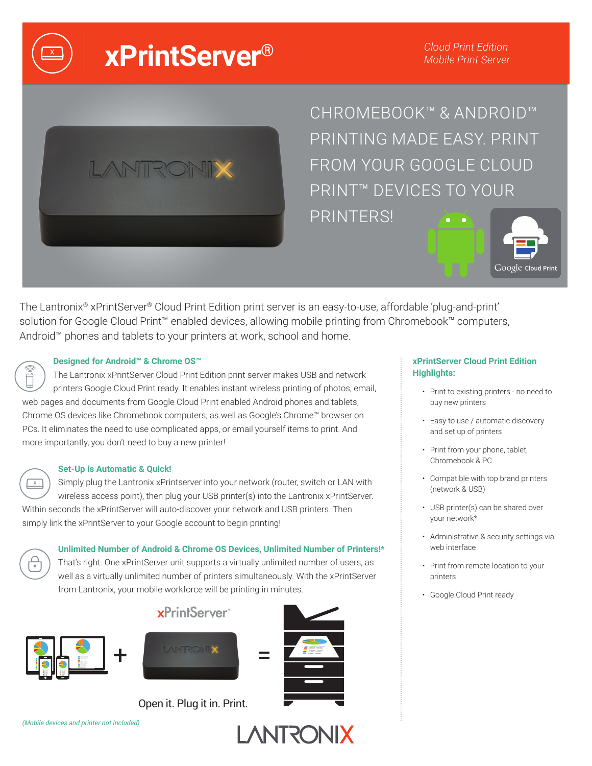**xPrintServer®** 

*Cloud Print Edition Mobile Print Server*



CHROMEBOOK™ & ANDROID™ PRINTING MADE EASY. PRINT FROM YOUR GOOGLE CLOUD PRINT™ DEVICES TO YOUR PRINTERS!



The Lantronix® xPrintServer® Cloud Print Edition print server is an easy-to-use, affordable 'plug-and-print' solution for Google Cloud Print™ enabled devices, allowing mobile printing from Chromebook™ computers, Android™ phones and tablets to your printers at work, school and home.

## **Designed for Android™ & Chrome OS™**

The Lantronix xPrintServer Cloud Print Edition print server makes USB and network printers Google Cloud Print ready. It enables instant wireless printing of photos, email, web pages and documents from Google Cloud Print enabled Android phones and tablets, Chrome OS devices like Chromebook computers, as well as Google's Chrome™ browser on PCs. It eliminates the need to use complicated apps, or email yourself items to print. And more importantly, you don't need to buy a new printer!

#### **Set-Up is Automatic & Quick!**

 $\boxed{\times}$ Simply plug the Lantronix xPrintserver into your network (router, switch or LAN with wireless access point), then plug your USB printer(s) into the Lantronix xPrintServer. Within seconds the xPrintServer will auto-discover your network and USB printers. Then simply link the xPrintServer to your Google account to begin printing!

**Unlimited Number of Android & Chrome OS Devices, Unlimited Number of Printers!\***

That's right. One xPrintServer unit supports a virtually unlimited number of users, as well as a virtually unlimited number of printers simultaneously. With the xPrintServer from Lantronix, your mobile workforce will be printing in minutes.



╬



xPrintServer<sup>®</sup>



**LANTRONIX** 

Open it. Plug it in. Print.

*(Mobile devices and printer not included)*

## **xPrintServer Cloud Print Edition Highlights:**

- Print to existing printers no need to buy new printers
- Easy to use / automatic discovery and set up of printers
- Print from your phone, tablet, Chromebook & PC
- Compatible with top brand printers (network & USB)
- USB printer(s) can be shared over your network\*
- Administrative & security settings via web interface
- Print from remote location to your printers
- Google Cloud Print ready